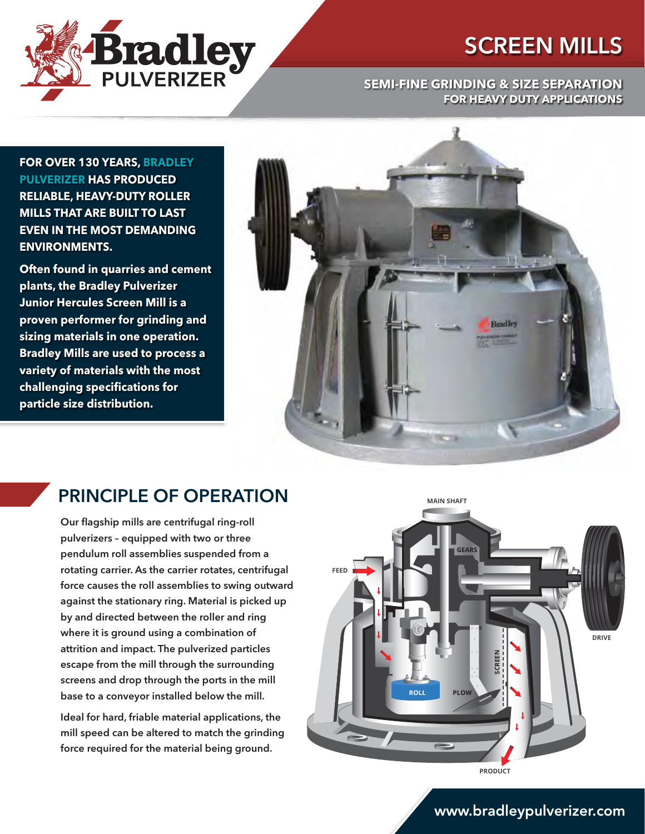

#### **SEMI-FINE GRINDING & SIZE SEPARATION FOR HEAVY DUTY APPLICATIONS**

**FOR OVER 130 YEARS, BRADLEY PULVERIZER HAS PRODUCED RELIABLE, HEAVY-DUTY ROLLER MILLS THAT ARE BUILT TO LAST EVEN IN THE MOST DEMANDING ENVIRONMENTS.**

**Bradley** 

**Often found in quarries and cement plants, the Bradley Pulverizer Junior Hercules Screen Mill is a proven performer for grinding and sizing materials in one operation. Bradley Mills are used to process a variety of materials with the most challenging specifications for particle size distribution.**



#### PRINCIPLE OF OPERATION

Our flagship mills are centrifugal ring-roll pulverizers – equipped with two or three pendulum roll assemblies suspended from a rotating carrier. As the carrier rotates, centrifugal force causes the roll assemblies to swing outward against the stationary ring. Material is picked up by and directed between the roller and ring where it is ground using a combination of attrition and impact. The pulverized particles escape from the mill through the surrounding screens and drop through the ports in the mill base to a conveyor installed below the mill.

Ideal for hard, friable material applications, the mill speed can be altered to match the grinding force required for the material being ground.



#### www.bradleypulverizer.com